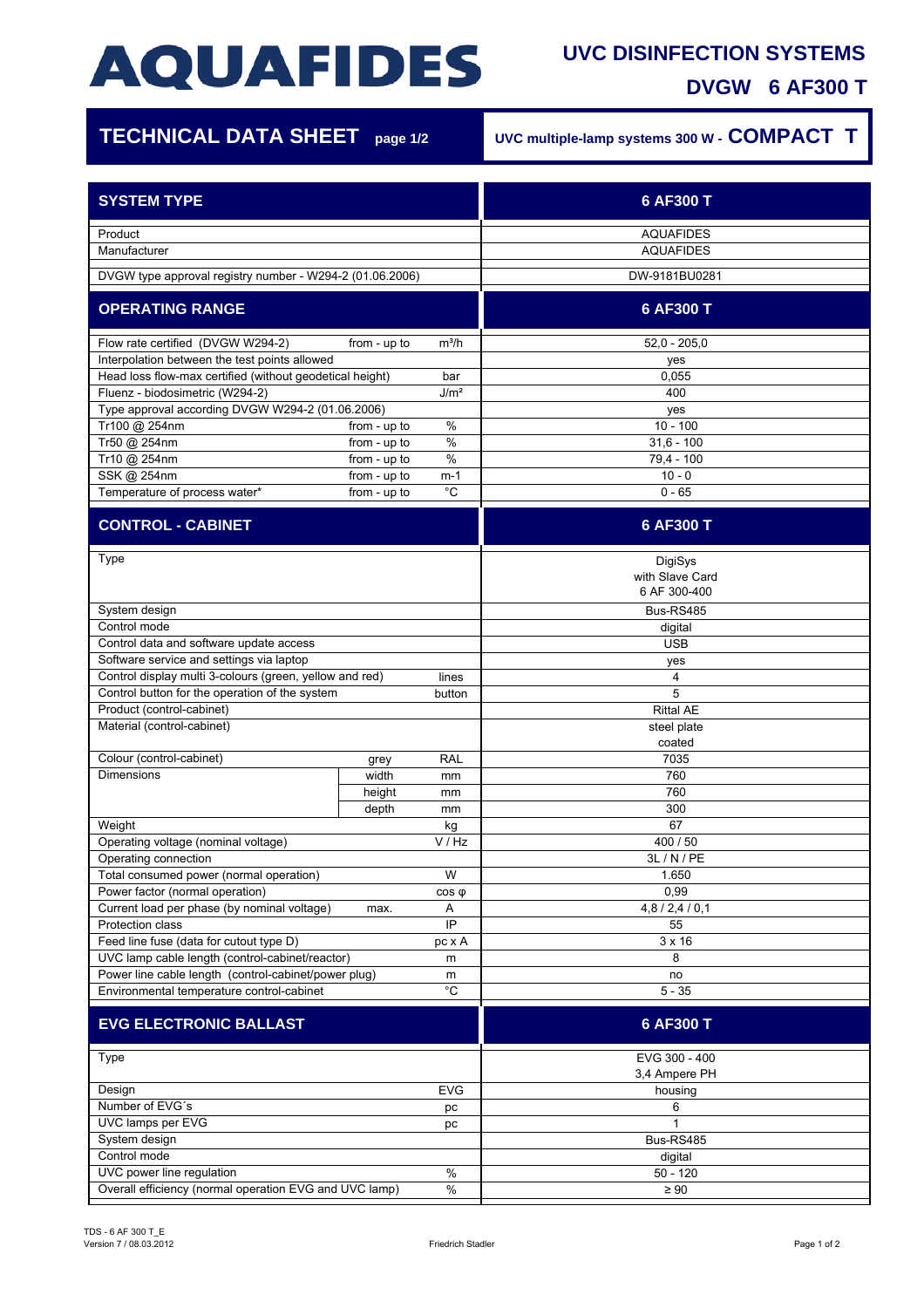# **AQUAFIDES**

### **UVC DISINFECTION SYSTEMS**

**DVGW 6 AF300 T**

| <b>TECHNICAL DATA SHEET</b> page 1/2                              |              | UVC multiple-lamp systems 300 W - COMPACT T |                       |  |
|-------------------------------------------------------------------|--------------|---------------------------------------------|-----------------------|--|
| <b>SYSTEM TYPE</b>                                                |              |                                             | 6 AF300 T             |  |
| Product                                                           |              |                                             | <b>AQUAFIDES</b>      |  |
| Manufacturer                                                      |              |                                             | <b>AQUAFIDES</b>      |  |
| DVGW type approval registry number - W294-2 (01.06.2006)          |              |                                             | DW-9181BU0281         |  |
| <b>OPERATING RANGE</b>                                            |              |                                             | 6 AF300 T             |  |
| Flow rate certified (DVGW W294-2)                                 | from - up to | $m^3/h$                                     | $52,0 - 205,0$        |  |
| Interpolation between the test points allowed                     |              |                                             | yes                   |  |
| Head loss flow-max certified (without geodetical height)          |              | bar                                         | 0,055                 |  |
| Fluenz - biodosimetric (W294-2)                                   |              | J/m <sup>2</sup>                            | 400                   |  |
| Type approval according DVGW W294-2 (01.06.2006)<br>Tr100 @ 254nm | from - up to | %                                           | yes<br>$10 - 100$     |  |
| Tr50 @ 254nm                                                      | from - up to | $\%$                                        | $31.6 - 100$          |  |
| Tr10 @ 254nm                                                      | from - up to | $\%$                                        | 79,4 - 100            |  |
| SSK @ 254nm                                                       | from - up to | $m-1$                                       | $10 - 0$              |  |
| Temperature of process water*                                     | from - up to | $^{\circ}C$                                 | $0 - 65$              |  |
| <b>CONTROL - CABINET</b>                                          |              |                                             | 6 AF300 T             |  |
| Type                                                              |              |                                             | DigiSys               |  |
|                                                                   |              |                                             | with Slave Card       |  |
|                                                                   |              |                                             | 6 AF 300-400          |  |
| System design                                                     |              |                                             | Bus-RS485             |  |
| Control mode                                                      |              |                                             | digital               |  |
| Control data and software update access                           |              |                                             | <b>USB</b>            |  |
| Software service and settings via laptop                          |              |                                             | yes                   |  |
| Control display multi 3-colours (green, yellow and red)<br>lines  |              |                                             | 4                     |  |
| Control button for the operation of the system                    |              | button                                      | 5                     |  |
| Product (control-cabinet)                                         |              |                                             | <b>Rittal AE</b>      |  |
| Material (control-cabinet)                                        |              |                                             | steel plate<br>coated |  |
| Colour (control-cabinet)                                          | grey         | <b>RAL</b>                                  | 7035                  |  |
| Dimensions                                                        | width        | mm                                          | 760                   |  |
|                                                                   | height       | mm                                          | 760                   |  |
|                                                                   | depth        | mm                                          | 300                   |  |
| Weight                                                            |              | kg                                          | 67                    |  |
| Operating voltage (nominal voltage)                               |              | V / Hz                                      | 400 / 50              |  |
| Operating connection                                              |              |                                             | 3L / N / PE           |  |
| Total consumed power (normal operation)                           |              | W                                           | 1.650                 |  |
| Power factor (normal operation)<br>$cos \varphi$                  |              |                                             | 0,99                  |  |
| Current load per phase (by nominal voltage)                       | max.         | Α<br>IP                                     | 4,8/2,4/0,1           |  |
| Protection class<br>Feed line fuse (data for cutout type D)       |              |                                             | 55<br>3 x 16          |  |
| UVC lamp cable length (control-cabinet/reactor)                   |              | pc x A<br>m                                 | 8                     |  |
| Power line cable length (control-cabinet/power plug)<br>m         |              |                                             | no                    |  |
| $^{\circ}$ C<br>Environmental temperature control-cabinet         |              |                                             | $5 - 35$              |  |
|                                                                   |              |                                             |                       |  |
| <b>EVG ELECTRONIC BALLAST</b>                                     |              |                                             | 6 AF300 T             |  |
| Type                                                              |              |                                             | EVG 300 - 400         |  |
|                                                                   |              |                                             | 3,4 Ampere PH         |  |
| Design                                                            |              | <b>EVG</b>                                  | housing               |  |
| Number of EVG's<br>рc<br>UVC lamps per EVG                        |              | 6<br>1                                      |                       |  |
| рc<br>System design                                               |              |                                             | Bus-RS485             |  |
| Control mode                                                      |              |                                             | digital               |  |
| $\%$<br>UVC power line regulation                                 |              | $50 - 120$                                  |                       |  |

Overall efficiency (normal operation EVG and UVC lamp) % | ↓ ↓ 290